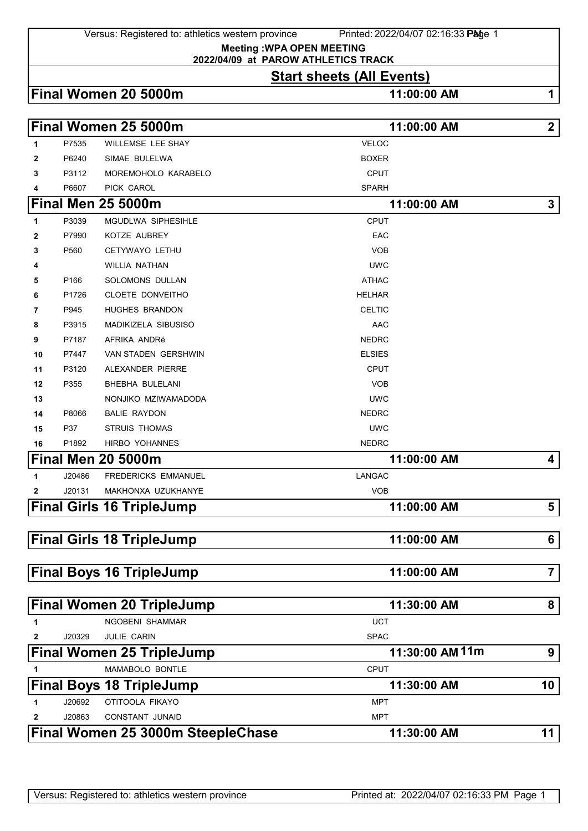Versus: Registered to: athletics western province Printed: 2022/04/07 02:16:33 Page 1

**Meeting :WPA OPEN MEETING**

## **2022/04/09 at PAROW ATHLETICS TRACK**

## **Start sheets (All Events)**

| Final Women 20 5000m |  |
|----------------------|--|
|----------------------|--|

**Final Women 20 5000m 11:00:00 AM 1**

|              |        | Final Women 25 5000m              | 11:00:00 AM     |                |
|--------------|--------|-----------------------------------|-----------------|----------------|
| 1            | P7535  | WILLEMSE LEE SHAY                 | <b>VELOC</b>    |                |
| 2            | P6240  | SIMAE BULELWA                     | <b>BOXER</b>    |                |
| 3            | P3112  | MOREMOHOLO KARABELO               | <b>CPUT</b>     |                |
| 4            | P6607  | PICK CAROL                        | <b>SPARH</b>    |                |
|              |        | <b>Final Men 25 5000m</b>         | 11:00:00 AM     | $\mathbf{3}$   |
| 1            | P3039  | MGUDLWA SIPHESIHLE                | <b>CPUT</b>     |                |
| 2            | P7990  | KOTZE AUBREY                      | EAC             |                |
| 3            | P560   | CETYWAYO LETHU                    | <b>VOB</b>      |                |
| 4            |        | WILLIA NATHAN                     | <b>UWC</b>      |                |
| 5            | P166   | SOLOMONS DULLAN                   | <b>ATHAC</b>    |                |
| 6            | P1726  | CLOETE DONVEITHO                  | <b>HELHAR</b>   |                |
| 7            | P945   | <b>HUGHES BRANDON</b>             | <b>CELTIC</b>   |                |
| 8            | P3915  | <b>MADIKIZELA SIBUSISO</b>        | AAC             |                |
| 9            | P7187  | AFRIKA ANDRé                      | <b>NEDRC</b>    |                |
| 10           | P7447  | <b>VAN STADEN GERSHWIN</b>        | <b>ELSIES</b>   |                |
| 11           | P3120  | ALEXANDER PIERRE                  | <b>CPUT</b>     |                |
| 12           | P355   | <b>BHEBHA BULELANI</b>            | <b>VOB</b>      |                |
| 13           |        | NONJIKO MZIWAMADODA               | <b>UWC</b>      |                |
| 14           | P8066  | <b>BALIE RAYDON</b>               | <b>NEDRC</b>    |                |
| 15           | P37    | <b>STRUIS THOMAS</b>              | <b>UWC</b>      |                |
| 16           | P1892  | HIRBO YOHANNES                    | <b>NEDRC</b>    |                |
|              |        | <b>Final Men 20 5000m</b>         | 11:00:00 AM     | 4              |
| 1            | J20486 | <b>FREDERICKS EMMANUEL</b>        | <b>LANGAC</b>   |                |
| 2            | J20131 | MAKHONXA UZUKHANYE                | <b>VOB</b>      |                |
|              |        | <b>Final Girls 16 TripleJump</b>  | 11:00:00 AM     | 5              |
|              |        |                                   |                 |                |
|              |        | <b>Final Girls 18 TripleJump</b>  | 11:00:00 AM     | 6              |
|              |        | <b>Final Boys 16 TripleJump</b>   | 11:00:00 AM     | $\overline{7}$ |
|              |        |                                   |                 |                |
|              |        | <b>Final Women 20 TripleJump</b>  | 11:30:00 AM     | 8              |
| 1            |        | NGOBENI SHAMMAR                   | <b>UCT</b>      |                |
| $\mathbf{2}$ | J20329 | JULIE CARIN                       | <b>SPAC</b>     |                |
|              |        | <b>Final Women 25 TripleJump</b>  | 11:30:00 AM 11m | 9              |
| 1            |        | MAMABOLO BONTLE                   | <b>CPUT</b>     |                |
|              |        | <b>Final Boys 18 TripleJump</b>   | 11:30:00 AM     | 10             |
| 1            | J20692 | OTITOOLA FIKAYO                   | <b>MPT</b>      |                |
| 2            | J20863 | <b>CONSTANT JUNAID</b>            | <b>MPT</b>      |                |
|              |        | Final Women 25 3000m SteepleChase | 11:30:00 AM     | 11             |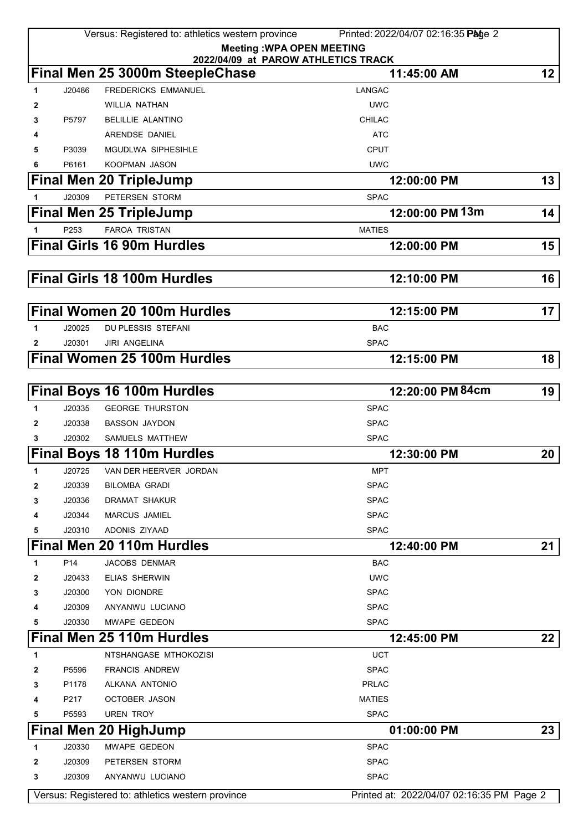|        |                  | Versus: Registered to: athletics western province | Printed: 2022/04/07 02:16:35 Page 2                |                 |
|--------|------------------|---------------------------------------------------|----------------------------------------------------|-----------------|
|        |                  |                                                   | <b>Meeting: WPA OPEN MEETING</b>                   |                 |
|        |                  |                                                   | 2022/04/09 at PAROW ATHLETICS TRACK<br>11:45:00 AM | 12 <sub>2</sub> |
|        |                  | Final Men 25 3000m SteepleChase                   |                                                    |                 |
| 1.     | J20486           | <b>FREDERICKS EMMANUEL</b><br>WILLIA NATHAN       | LANGAC<br><b>UWC</b>                               |                 |
| 2<br>3 | P5797            | <b>BELILLIE ALANTINO</b>                          | <b>CHILAC</b>                                      |                 |
| 4      |                  | ARENDSE DANIEL                                    | <b>ATC</b>                                         |                 |
| 5      | P3039            | <b>MGUDLWA SIPHESIHLE</b>                         | <b>CPUT</b>                                        |                 |
| 6      | P6161            | KOOPMAN JASON                                     | <b>UWC</b>                                         |                 |
|        |                  | <b>Final Men 20 TripleJump</b>                    | 12:00:00 PM                                        | 13              |
| 1      | J20309           | PETERSEN STORM                                    | <b>SPAC</b>                                        |                 |
|        |                  |                                                   | 12:00:00 PM 13m                                    | 14              |
|        |                  | <b>Final Men 25 TripleJump</b>                    |                                                    |                 |
|        | P <sub>253</sub> | <b>FAROA TRISTAN</b>                              | <b>MATIES</b>                                      |                 |
|        |                  | <b>Final Girls 16 90m Hurdles</b>                 | 12:00:00 PM                                        | 15              |
|        |                  |                                                   |                                                    |                 |
|        |                  | <b>Final Girls 18 100m Hurdles</b>                | 12:10:00 PM                                        | 16              |
|        |                  |                                                   |                                                    |                 |
|        |                  | Final Women 20 100m Hurdles                       | 12:15:00 PM                                        | 17              |
| 1      | J20025           | DU PLESSIS STEFANI                                | <b>BAC</b>                                         |                 |
| 2      | J20301           | <b>JIRI ANGELINA</b>                              | <b>SPAC</b>                                        |                 |
|        |                  | <b>Final Women 25 100m Hurdles</b>                | 12:15:00 PM                                        | 18              |
|        |                  |                                                   |                                                    |                 |
|        |                  | <b>Final Boys 16 100m Hurdles</b>                 | 12:20:00 PM 84cm                                   | 19              |
| 1      | J20335           | <b>GEORGE THURSTON</b>                            | <b>SPAC</b>                                        |                 |
| 2      | J20338           | <b>BASSON JAYDON</b>                              | <b>SPAC</b>                                        |                 |
| 3      | J20302           | SAMUELS MATTHEW                                   | <b>SPAC</b>                                        |                 |
|        |                  | <b>Final Boys 18 110m Hurdles</b>                 | 12:30:00 PM                                        | 20              |
|        |                  | J20725 VAN DER HEERVER JORDAN                     | <b>MPT</b>                                         |                 |
| 2      | J20339           | <b>BILOMBA GRADI</b>                              | <b>SPAC</b>                                        |                 |
| 3      | J20336           | DRAMAT SHAKUR                                     | <b>SPAC</b>                                        |                 |
| 4      | J20344           | <b>MARCUS JAMIEL</b>                              | <b>SPAC</b>                                        |                 |
| 5      | J20310           | ADONIS ZIYAAD                                     | <b>SPAC</b>                                        |                 |
|        |                  | Final Men 20 110m Hurdles                         | 12:40:00 PM                                        | 21              |
| 1      | P <sub>14</sub>  | <b>JACOBS DENMAR</b>                              | <b>BAC</b>                                         |                 |
| 2      | J20433           | <b>ELIAS SHERWIN</b>                              | <b>UWC</b>                                         |                 |
| 3      | J20300           | YON DIONDRE                                       | <b>SPAC</b>                                        |                 |
| 4      | J20309           | ANYANWU LUCIANO                                   | <b>SPAC</b>                                        |                 |
| 5      | J20330           | MWAPE GEDEON                                      | <b>SPAC</b>                                        |                 |
|        |                  | Final Men 25 110m Hurdles                         | 12:45:00 PM                                        | 22              |
| 1      |                  | NTSHANGASE MTHOKOZISI                             | <b>UCT</b>                                         |                 |
| 2      | P5596            | <b>FRANCIS ANDREW</b>                             | <b>SPAC</b>                                        |                 |
| 3      | P1178            | ALKANA ANTONIO                                    | <b>PRLAC</b>                                       |                 |
| 4      | P217             | OCTOBER JASON                                     | <b>MATIES</b>                                      |                 |
| 5      | P5593            | <b>UREN TROY</b>                                  | <b>SPAC</b>                                        |                 |
|        |                  | Final Men 20 HighJump                             | 01:00:00 PM                                        | 23              |
| 1      | J20330           | MWAPE GEDEON                                      | <b>SPAC</b>                                        |                 |
| 2      | J20309           | PETERSEN STORM                                    | <b>SPAC</b>                                        |                 |
| 3      | J20309           | ANYANWU LUCIANO                                   | <b>SPAC</b>                                        |                 |
|        |                  | Versus: Registered to: athletics western province | Printed at: 2022/04/07 02:16:35 PM Page 2          |                 |
|        |                  |                                                   |                                                    |                 |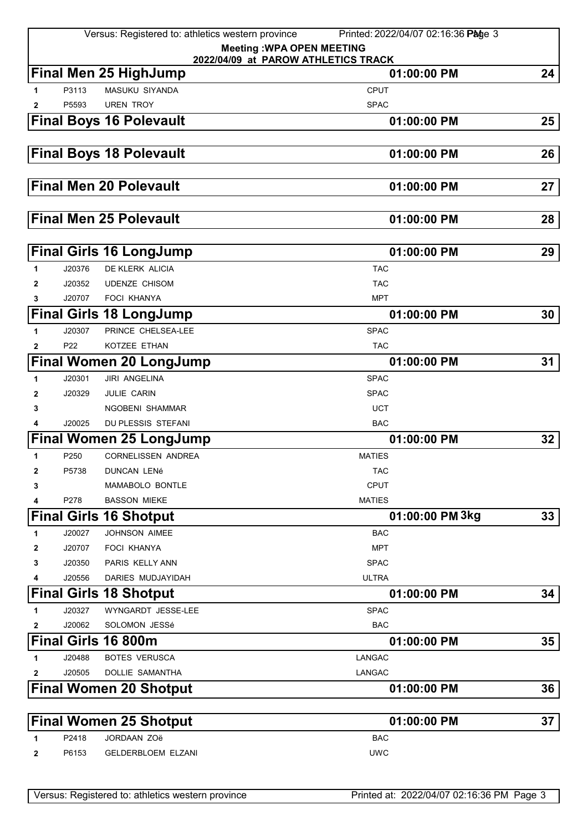|              |                           | Versus: Registered to: athletics western province | Printed: 2022/04/07 02:16:36 Page 3                |                 |
|--------------|---------------------------|---------------------------------------------------|----------------------------------------------------|-----------------|
|              |                           |                                                   | <b>Meeting: WPA OPEN MEETING</b>                   |                 |
|              |                           | <b>Final Men 25 HighJump</b>                      | 2022/04/09 at PAROW ATHLETICS TRACK<br>01:00:00 PM | 24              |
| 1            | P3113                     | <b>MASUKU SIYANDA</b>                             | <b>CPUT</b>                                        |                 |
| $\mathbf{2}$ | P5593                     | <b>UREN TROY</b>                                  | <b>SPAC</b>                                        |                 |
|              |                           | <b>Final Boys 16 Polevault</b>                    | 01:00:00 PM                                        | 25              |
|              |                           |                                                   |                                                    |                 |
|              |                           | <b>Final Boys 18 Polevault</b>                    | 01:00:00 PM                                        | 26              |
|              |                           |                                                   |                                                    |                 |
|              |                           | <b>Final Men 20 Polevault</b>                     |                                                    |                 |
|              |                           |                                                   | 01:00:00 PM                                        | 27              |
|              |                           |                                                   |                                                    |                 |
|              |                           | <b>Final Men 25 Polevault</b>                     | 01:00:00 PM                                        | 28              |
|              |                           |                                                   |                                                    |                 |
|              |                           | <b>Final Girls 16 LongJump</b>                    | 01:00:00 PM                                        | 29              |
| 1            | J20376                    | DE KLERK ALICIA                                   | <b>TAC</b>                                         |                 |
| 2            | J20352<br>J20707          | UDENZE CHISOM<br><b>FOCI KHANYA</b>               | <b>TAC</b><br><b>MPT</b>                           |                 |
| 3            |                           |                                                   |                                                    |                 |
|              |                           | <b>Final Girls 18 LongJump</b>                    | 01:00:00 PM                                        | 30              |
| 1            | J20307<br>P <sub>22</sub> | PRINCE CHELSEA-LEE<br>KOTZEE ETHAN                | <b>SPAC</b><br><b>TAC</b>                          |                 |
| 2            |                           |                                                   | 01:00:00 PM                                        | 31              |
|              |                           | <b>Final Women 20 LongJump</b>                    |                                                    |                 |
| 1            | J20301                    | <b>JIRI ANGELINA</b>                              | <b>SPAC</b>                                        |                 |
| 2<br>3       | J20329                    | JULIE CARIN<br>NGOBENI SHAMMAR                    | <b>SPAC</b><br><b>UCT</b>                          |                 |
| 4            | J20025                    | DU PLESSIS STEFANI                                | <b>BAC</b>                                         |                 |
|              |                           | <b>Final Women 25 LongJump</b>                    | 01:00:00 PM                                        | 32 <sub>2</sub> |
| 1            | P250                      | CORNELISSEN ANDREA                                | <b>MATIES</b>                                      |                 |
| 2            | P5738                     | <b>DUNCAN LENÉ</b>                                | <b>TAC</b>                                         |                 |
| 3            |                           | MAMABOLO BONTLE                                   | <b>CPUT</b>                                        |                 |
| 4            | P278                      | <b>BASSON MIEKE</b>                               | <b>MATIES</b>                                      |                 |
|              |                           | <b>Final Girls 16 Shotput</b>                     | 01:00:00 PM 3kg                                    | 33 <sub>°</sub> |
| 1            | J20027                    | <b>JOHNSON AIMEE</b>                              | <b>BAC</b>                                         |                 |
| 2            | J20707                    | FOCI KHANYA                                       | <b>MPT</b>                                         |                 |
| 3            | J20350                    | PARIS KELLY ANN                                   | <b>SPAC</b>                                        |                 |
| 4            | J20556                    | DARIES MUDJAYIDAH                                 | <b>ULTRA</b>                                       |                 |
|              |                           | <b>Final Girls 18 Shotput</b>                     | 01:00:00 PM                                        | 34              |
| 1            | J20327                    | WYNGARDT JESSE-LEE                                | <b>SPAC</b>                                        |                 |
| 2            | J20062                    | SOLOMON JESSé                                     | <b>BAC</b>                                         |                 |
|              |                           | Final Girls 16 800m                               | 01:00:00 PM                                        | $35\,$          |
| 1            | J20488                    | <b>BOTES VERUSCA</b>                              | <b>LANGAC</b>                                      |                 |
| 2            | J20505                    | DOLLIE SAMANTHA                                   | LANGAC                                             |                 |
|              |                           | <b>Final Women 20 Shotput</b>                     | 01:00:00 PM                                        | 36              |
|              |                           |                                                   |                                                    |                 |
|              |                           | <b>Final Women 25 Shotput</b>                     | 01:00:00 PM                                        | 37              |
| 1            | P2418                     | JORDAAN ZOë                                       | <b>BAC</b>                                         |                 |
| $\mathbf{2}$ | P6153                     | <b>GELDERBLOEM ELZANI</b>                         | <b>UWC</b>                                         |                 |
|              |                           |                                                   |                                                    |                 |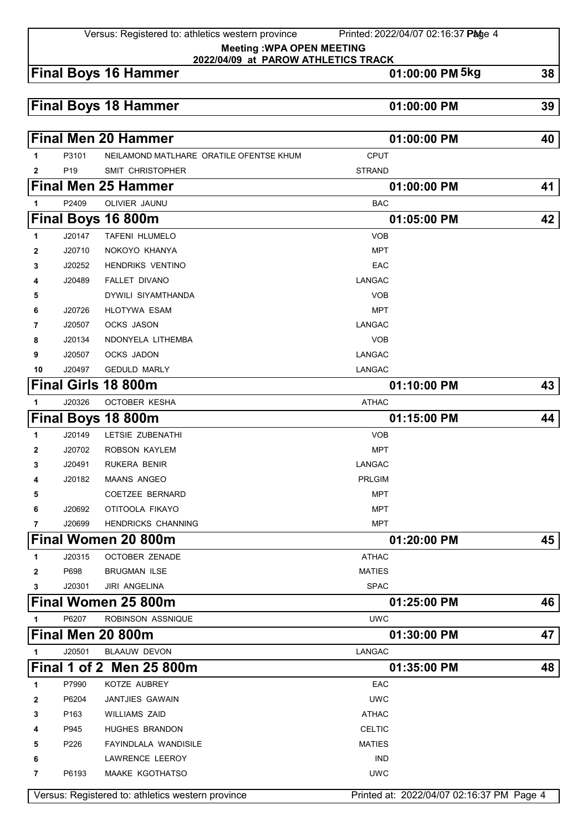Versus: Registered to: athletics western province Printed: 2022/04/07 02:16:37 Page 4

**Meeting :WPA OPEN MEETING 2022/04/09 at PAROW ATHLETICS TRACK**

## **Final Boys 16 Hammer 01:00:00 PM 5kg 38**

## **Final Boys 18 Hammer 01:00:00 PM 39**

|              |                 | <b>Final Men 20 Hammer</b>              | 01:00:00 PM   | 40 |
|--------------|-----------------|-----------------------------------------|---------------|----|
| 1            | P3101           | NEILAMOND MATLHARE ORATILE OFENTSE KHUM | <b>CPUT</b>   |    |
| $\mathbf{2}$ | P <sub>19</sub> | SMIT CHRISTOPHER                        | <b>STRAND</b> |    |
|              |                 | <b>Final Men 25 Hammer</b>              | 01:00:00 PM   | 41 |
| 1            | P2409           | OLIVIER JAUNU                           | <b>BAC</b>    |    |
|              |                 | Final Boys 16 800m                      | 01:05:00 PM   | 42 |
| 1            | J20147          | <b>TAFENI HLUMELO</b>                   | <b>VOB</b>    |    |
| 2            | J20710          | NOKOYO KHANYA                           | <b>MPT</b>    |    |
| 3            | J20252          | <b>HENDRIKS VENTINO</b>                 | EAC           |    |
| 4            | J20489          | <b>FALLET DIVANO</b>                    | <b>LANGAC</b> |    |
| 5            |                 | DYWILI SIYAMTHANDA                      | <b>VOB</b>    |    |
| 6            | J20726          | <b>HLOTYWA ESAM</b>                     | <b>MPT</b>    |    |
| 7            | J20507          | <b>OCKS JASON</b>                       | <b>LANGAC</b> |    |
| 8            | J20134          | NDONYELA LITHEMBA                       | <b>VOB</b>    |    |
| 9            | J20507          | OCKS JADON                              | <b>LANGAC</b> |    |
| 10           | J20497          | <b>GEDULD MARLY</b>                     | LANGAC        |    |
|              |                 | Final Girls 18 800m                     | 01:10:00 PM   | 43 |
| 1            | J20326          | OCTOBER KESHA                           | <b>ATHAC</b>  |    |
|              |                 | Final Boys 18 800m                      | 01:15:00 PM   | 44 |
| 1            | J20149          | LETSIE ZUBENATHI                        | <b>VOB</b>    |    |
| 2            | J20702          | ROBSON KAYLEM                           | <b>MPT</b>    |    |
| 3            | J20491          | <b>RUKERA BENIR</b>                     | LANGAC        |    |
| 4            | J20182          | <b>MAANS ANGEO</b>                      | <b>PRLGIM</b> |    |
| 5            |                 | <b>COETZEE BERNARD</b>                  | <b>MPT</b>    |    |
| 6            | J20692          | OTITOOLA FIKAYO                         | <b>MPT</b>    |    |
| 7            | J20699          | <b>HENDRICKS CHANNING</b>               | MPT           |    |
|              |                 | Final Women 20 800m                     | 01:20:00 PM   | 45 |
| 1            | J20315          | <b>OCTOBER ZENADE</b>                   | <b>ATHAC</b>  |    |
| 2            | P698            | <b>BRUGMAN ILSE</b>                     | <b>MATIES</b> |    |
| 3            | J20301          | <b>JIRI ANGELINA</b>                    | <b>SPAC</b>   |    |
|              |                 | Final Women 25 800m                     | 01:25:00 PM   | 46 |
| 1            | P6207           | ROBINSON ASSNIQUE                       | <b>UWC</b>    |    |
|              |                 | Final Men 20 800m                       | 01:30:00 PM   | 47 |
| 1            | J20501          | <b>BLAAUW DEVON</b>                     | <b>LANGAC</b> |    |
|              |                 | Final 1 of 2 Men 25 800m                | 01:35:00 PM   | 48 |
| 1            | P7990           | KOTZE AUBREY                            | EAC           |    |
| $\mathbf{2}$ | P6204           | <b>JANTJIES GAWAIN</b>                  | <b>UWC</b>    |    |
| 3            | P163            | <b>WILLIAMS ZAID</b>                    | <b>ATHAC</b>  |    |
| 4            | P945            | HUGHES BRANDON                          | <b>CELTIC</b> |    |
| 5            | P226            | FAYINDLALA WANDISILE                    | <b>MATIES</b> |    |
| 6            |                 | LAWRENCE LEEROY                         | <b>IND</b>    |    |
| 7            | P6193           | MAAKE KGOTHATSO                         | <b>UWC</b>    |    |

Versus: Registered to: athletics western province Printed at: 2022/04/07 02:16:37 PM Page 4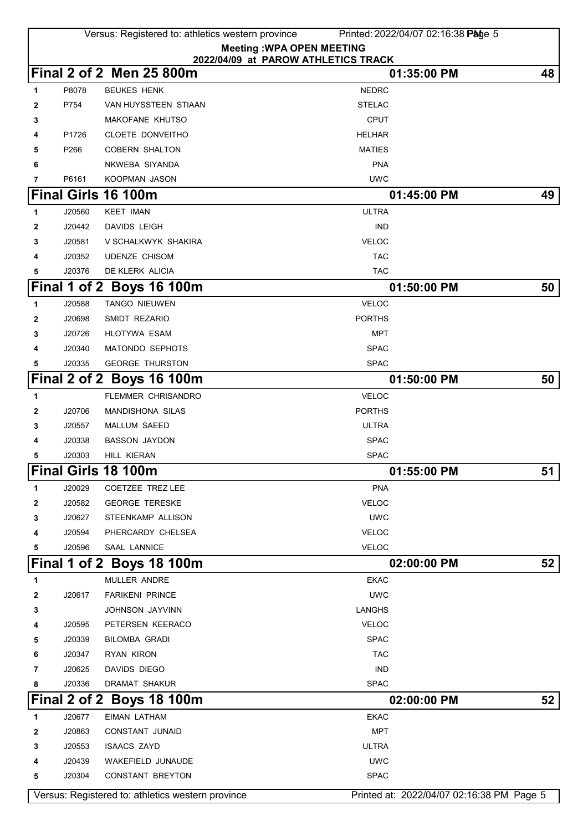|        |        | Versus: Registered to: athletics western province | Printed: 2022/04/07 02:16:38 Page 5       |    |
|--------|--------|---------------------------------------------------|-------------------------------------------|----|
|        |        | <b>Meeting: WPA OPEN MEETING</b>                  |                                           |    |
|        |        |                                                   | 2022/04/09 at PAROW ATHLETICS TRACK       |    |
|        |        | Final 2 of 2 Men 25 800m                          | 01:35:00 PM                               | 48 |
| 1      | P8078  | <b>BEUKES HENK</b>                                | <b>NEDRC</b>                              |    |
| 2      | P754   | VAN HUYSSTEEN STIAAN                              | <b>STELAC</b>                             |    |
| 3      |        | MAKOFANE KHUTSO                                   | <b>CPUT</b>                               |    |
| 4      | P1726  | CLOETE DONVEITHO                                  | <b>HELHAR</b>                             |    |
| 5      | P266   | <b>COBERN SHALTON</b>                             | <b>MATIES</b><br><b>PNA</b>               |    |
| 6<br>7 | P6161  | NKWEBA SIYANDA<br>KOOPMAN JASON                   | <b>UWC</b>                                |    |
|        |        | Final Girls 16 100m                               | 01:45:00 PM                               | 49 |
| 1      | J20560 | <b>KEET IMAN</b>                                  | <b>ULTRA</b>                              |    |
| 2      | J20442 | <b>DAVIDS LEIGH</b>                               | <b>IND</b>                                |    |
| 3      | J20581 | V SCHALKWYK SHAKIRA                               | <b>VELOC</b>                              |    |
| 4      | J20352 | <b>UDENZE CHISOM</b>                              | <b>TAC</b>                                |    |
| 5      | J20376 | DE KLERK ALICIA                                   | <b>TAC</b>                                |    |
|        |        | Final 1 of 2 Boys 16 100m                         | 01:50:00 PM                               | 50 |
| 1      | J20588 | <b>TANGO NIEUWEN</b>                              | <b>VELOC</b>                              |    |
| 2      | J20698 | SMIDT REZARIO                                     | <b>PORTHS</b>                             |    |
| 3      | J20726 | <b>HLOTYWA ESAM</b>                               | <b>MPT</b>                                |    |
| 4      | J20340 | <b>MATONDO SEPHOTS</b>                            | <b>SPAC</b>                               |    |
| 5      | J20335 | <b>GEORGE THURSTON</b>                            | <b>SPAC</b>                               |    |
|        |        | Final 2 of 2 Boys 16 100m                         | 01:50:00 PM                               | 50 |
| 1      |        | <b>FLEMMER CHRISANDRO</b>                         | <b>VELOC</b>                              |    |
| 2      | J20706 | <b>MANDISHONA SILAS</b>                           | <b>PORTHS</b>                             |    |
| 3      | J20557 | MALLUM SAEED                                      | <b>ULTRA</b>                              |    |
| 4      | J20338 | <b>BASSON JAYDON</b>                              | <b>SPAC</b>                               |    |
| 5      | J20303 | HILL KIERAN                                       | <b>SPAC</b>                               |    |
|        |        | <b>Final Girls 18 100m</b>                        | 01:55:00 PM                               | 51 |
| 1      | J20029 | COETZEE TREZ LEE                                  | <b>PNA</b>                                |    |
| 2      | J20582 | <b>GEORGE TERESKE</b>                             | <b>VELOC</b>                              |    |
| 3      | J20627 | STEENKAMP ALLISON                                 | <b>UWC</b>                                |    |
| 4      | J20594 | PHERCARDY CHELSEA                                 | <b>VELOC</b>                              |    |
| 5      | J20596 | SAAL LANNICE                                      | <b>VELOC</b>                              |    |
|        |        | Final 1 of 2 Boys 18 100m                         | 02:00:00 PM                               | 52 |
| 1      |        | MULLER ANDRE                                      | <b>EKAC</b>                               |    |
| 2      | J20617 | <b>FARIKENI PRINCE</b>                            | <b>UWC</b>                                |    |
| 3      |        | JOHNSON JAYVINN                                   | <b>LANGHS</b>                             |    |
| 4      | J20595 | PETERSEN KEERACO                                  | <b>VELOC</b>                              |    |
| 5      | J20339 | <b>BILOMBA GRADI</b>                              | <b>SPAC</b>                               |    |
| 6      | J20347 | <b>RYAN KIRON</b>                                 | <b>TAC</b>                                |    |
| 7      | J20625 | DAVIDS DIEGO                                      | <b>IND</b>                                |    |
| 8      | J20336 | DRAMAT SHAKUR                                     | <b>SPAC</b>                               |    |
|        |        | Final 2 of 2 Boys 18 100m                         | 02:00:00 PM                               | 52 |
| 1      | J20677 | <b>EIMAN LATHAM</b>                               | <b>EKAC</b>                               |    |
| 2      | J20863 | CONSTANT JUNAID                                   | <b>MPT</b>                                |    |
| 3      | J20553 | <b>ISAACS ZAYD</b>                                | <b>ULTRA</b>                              |    |
| 4      | J20439 | WAKEFIELD JUNAUDE                                 | <b>UWC</b>                                |    |
| 5      | J20304 | <b>CONSTANT BREYTON</b>                           | <b>SPAC</b>                               |    |
|        |        | Versus: Registered to: athletics western province | Printed at: 2022/04/07 02:16:38 PM Page 5 |    |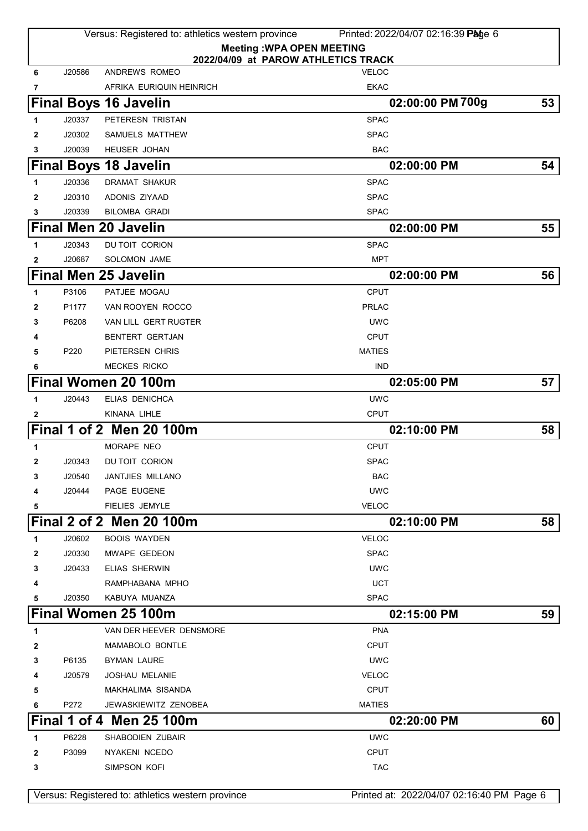|              |        | Versus: Registered to: athletics western province | Printed: 2022/04/07 02:16:39 Page 6                 |    |
|--------------|--------|---------------------------------------------------|-----------------------------------------------------|----|
|              |        | <b>Meeting: WPA OPEN MEETING</b>                  |                                                     |    |
| 6            | J20586 | ANDREWS ROMEO                                     | 2022/04/09 at PAROW ATHLETICS TRACK<br><b>VELOC</b> |    |
| 7            |        | AFRIKA EURIQUIN HEINRICH                          | <b>EKAC</b>                                         |    |
|              |        | <b>Final Boys 16 Javelin</b>                      | 02:00:00 PM 700g                                    | 53 |
| 1            | J20337 | PETERESN TRISTAN                                  | <b>SPAC</b>                                         |    |
| 2            | J20302 | SAMUELS MATTHEW                                   | <b>SPAC</b>                                         |    |
| 3            | J20039 | <b>HEUSER JOHAN</b>                               | <b>BAC</b>                                          |    |
|              |        | <b>Final Boys 18 Javelin</b>                      | 02:00:00 PM                                         | 54 |
| 1            | J20336 | <b>DRAMAT SHAKUR</b>                              | <b>SPAC</b>                                         |    |
| 2            | J20310 | ADONIS ZIYAAD                                     | <b>SPAC</b>                                         |    |
| 3            | J20339 | <b>BILOMBA GRADI</b>                              | <b>SPAC</b>                                         |    |
|              |        | <b>Final Men 20 Javelin</b>                       | 02:00:00 PM                                         | 55 |
| 1            | J20343 | DU TOIT CORION                                    | <b>SPAC</b>                                         |    |
| $\mathbf{2}$ | J20687 | <b>SOLOMON JAME</b>                               | <b>MPT</b>                                          |    |
|              |        | <b>Final Men 25 Javelin</b>                       | 02:00:00 PM                                         | 56 |
| 1            | P3106  | PATJEE MOGAU                                      | <b>CPUT</b>                                         |    |
| 2            | P1177  | VAN ROOYEN ROCCO                                  | <b>PRLAC</b>                                        |    |
| 3            | P6208  | VAN LILL GERT RUGTER                              | <b>UWC</b>                                          |    |
| 4            |        | <b>BENTERT GERTJAN</b>                            | <b>CPUT</b>                                         |    |
| 5            | P220   | PIETERSEN CHRIS                                   | <b>MATIES</b>                                       |    |
| 6            |        | <b>MECKES RICKO</b>                               | <b>IND</b>                                          |    |
|              |        | Final Women 20 100m                               | 02:05:00 PM                                         | 57 |
| 1            | J20443 | ELIAS DENICHCA                                    | <b>UWC</b>                                          |    |
| 2            |        | KINANA LIHLE                                      | <b>CPUT</b>                                         |    |
|              |        | Final 1 of 2 Men 20 100m                          | 02:10:00 PM                                         | 58 |
| 1            |        | MORAPE NEO                                        | <b>CPUT</b>                                         |    |
| $\mathbf{2}$ | J20343 | DU TOIT CORION                                    | <b>SPAC</b>                                         |    |
| 3            | J20540 | JANTJIES MILLANO                                  | <b>BAC</b>                                          |    |
| 4            | J20444 | PAGE EUGENE                                       | <b>UWC</b>                                          |    |
| 5            |        | <b>FIELIES JEMYLE</b>                             | <b>VELOC</b>                                        |    |
|              |        | <b>Final 2 of 2 Men 20 100m</b>                   | 02:10:00 PM                                         | 58 |
| 1            | J20602 | <b>BOOIS WAYDEN</b>                               | <b>VELOC</b>                                        |    |
| 2            | J20330 | MWAPE GEDEON                                      | <b>SPAC</b>                                         |    |
| 3            | J20433 | ELIAS SHERWIN                                     | <b>UWC</b>                                          |    |
| 4            |        | RAMPHABANA MPHO                                   | <b>UCT</b>                                          |    |
| 5            | J20350 | KABUYA MUANZA                                     | <b>SPAC</b>                                         |    |
|              |        | Final Women 25 100m                               | 02:15:00 PM                                         | 59 |
| 1            |        | VAN DER HEEVER DENSMORE                           | <b>PNA</b>                                          |    |
| 2            |        | <b>MAMABOLO BONTLE</b>                            | CPUT                                                |    |
| 3            | P6135  | BYMAN LAURE                                       | <b>UWC</b>                                          |    |
| 4            | J20579 | <b>JOSHAU MELANIE</b>                             | <b>VELOC</b>                                        |    |
| 5            |        | MAKHALIMA SISANDA                                 | <b>CPUT</b>                                         |    |
| 6            | P272   | JEWASKIEWITZ ZENOBEA                              | <b>MATIES</b>                                       |    |
|              |        | <b>Final 1 of 4 Men 25 100m</b>                   | 02:20:00 PM                                         | 60 |
| 1            | P6228  | <b>SHABODIEN ZUBAIR</b>                           | <b>UWC</b>                                          |    |
| 2            | P3099  | NYAKENI NCEDO                                     | <b>CPUT</b>                                         |    |
| 3            |        | SIMPSON KOFI                                      | <b>TAC</b>                                          |    |
|              |        | Versus: Registered to: athletics western province | Printed at: 2022/04/07 02:16:40 PM Page 6           |    |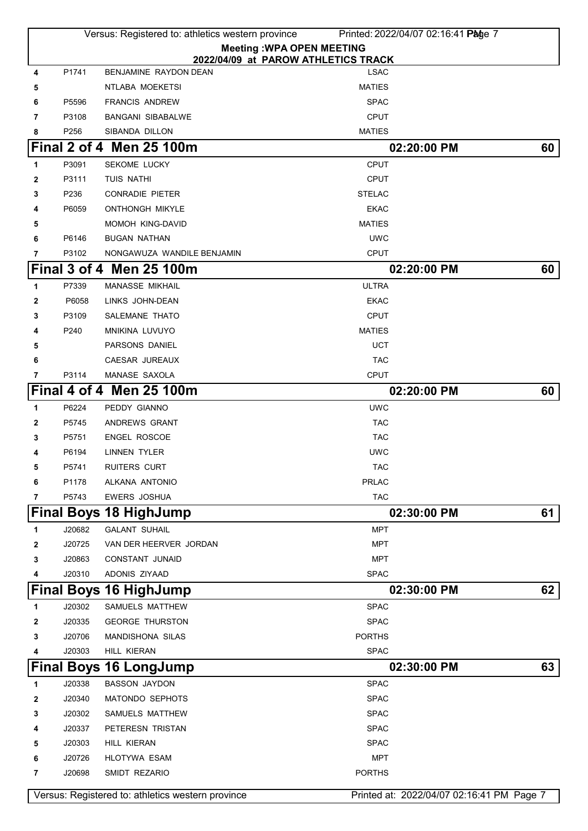|   |        | Versus: Registered to: athletics western province | Printed: 2022/04/07 02:16:41 Page 7                |    |
|---|--------|---------------------------------------------------|----------------------------------------------------|----|
|   |        |                                                   | <b>Meeting: WPA OPEN MEETING</b>                   |    |
| 4 | P1741  | BENJAMINE RAYDON DEAN                             | 2022/04/09 at PAROW ATHLETICS TRACK<br><b>LSAC</b> |    |
| 5 |        | NTLABA MOEKETSI                                   | <b>MATIES</b>                                      |    |
| 6 | P5596  | <b>FRANCIS ANDREW</b>                             | <b>SPAC</b>                                        |    |
| 7 | P3108  | <b>BANGANI SIBABALWE</b>                          | <b>CPUT</b>                                        |    |
| 8 | P256   | SIBANDA DILLON                                    | <b>MATIES</b>                                      |    |
|   |        | Final 2 of 4 Men 25 100m                          | 02:20:00 PM                                        | 60 |
| 1 | P3091  | <b>SEKOME LUCKY</b>                               | <b>CPUT</b>                                        |    |
| 2 | P3111  | TUIS NATHI                                        | <b>CPUT</b>                                        |    |
| 3 | P236   | <b>CONRADIE PIETER</b>                            | <b>STELAC</b>                                      |    |
| 4 | P6059  | <b>ONTHONGH MIKYLE</b>                            | <b>EKAC</b>                                        |    |
| 5 |        | <b>MOMOH KING-DAVID</b>                           | <b>MATIES</b>                                      |    |
| 6 | P6146  | <b>BUGAN NATHAN</b>                               | <b>UWC</b>                                         |    |
| 7 | P3102  | NONGAWUZA WANDILE BENJAMIN                        | <b>CPUT</b>                                        |    |
|   |        | Final 3 of 4 Men 25 100m                          | 02:20:00 PM                                        | 60 |
| 1 | P7339  | MANASSE MIKHAIL                                   | <b>ULTRA</b>                                       |    |
| 2 | P6058  | LINKS JOHN-DEAN                                   | <b>EKAC</b>                                        |    |
| 3 | P3109  | SALEMANE THATO                                    | <b>CPUT</b>                                        |    |
| 4 | P240   | MNIKINA LUVUYO                                    | <b>MATIES</b>                                      |    |
| 5 |        | PARSONS DANIEL                                    | <b>UCT</b>                                         |    |
| 6 |        | CAESAR JUREAUX                                    | <b>TAC</b>                                         |    |
| 7 | P3114  | MANASE SAXOLA                                     | <b>CPUT</b>                                        |    |
|   |        | Final 4 of 4 Men 25 100m                          | 02:20:00 PM                                        | 60 |
| 1 | P6224  | PEDDY GIANNO                                      | <b>UWC</b>                                         |    |
| 2 | P5745  | ANDREWS GRANT                                     | <b>TAC</b>                                         |    |
| 3 | P5751  | <b>ENGEL ROSCOE</b>                               | <b>TAC</b>                                         |    |
| 4 | P6194  | LINNEN TYLER                                      | <b>UWC</b>                                         |    |
| 5 | P5741  | RUITERS CURT                                      | <b>TAC</b>                                         |    |
| 6 | P1178  | ALKANA ANTONIO                                    | <b>PRLAC</b>                                       |    |
| 7 | P5743  | <b>EWERS JOSHUA</b>                               | <b>TAC</b>                                         |    |
|   |        | <b>Final Boys 18 HighJump</b>                     | 02:30:00 PM                                        | 61 |
| 1 | J20682 | <b>GALANT SUHAIL</b>                              | <b>MPT</b>                                         |    |
| 2 | J20725 | VAN DER HEERVER JORDAN                            | <b>MPT</b>                                         |    |
| 3 | J20863 | <b>CONSTANT JUNAID</b>                            | <b>MPT</b>                                         |    |
| 4 | J20310 | ADONIS ZIYAAD                                     | <b>SPAC</b>                                        |    |
|   |        | <b>Final Boys 16 HighJump</b>                     | 02:30:00 PM                                        | 62 |
| 1 | J20302 | SAMUELS MATTHEW                                   | <b>SPAC</b>                                        |    |
| 2 | J20335 | <b>GEORGE THURSTON</b>                            | <b>SPAC</b>                                        |    |
| 3 | J20706 | <b>MANDISHONA SILAS</b>                           | <b>PORTHS</b>                                      |    |
| 4 | J20303 | HILL KIERAN                                       | <b>SPAC</b>                                        |    |
|   |        | <b>Final Boys 16 LongJump</b>                     | 02:30:00 PM                                        | 63 |
| 1 | J20338 | <b>BASSON JAYDON</b>                              | <b>SPAC</b>                                        |    |
| 2 | J20340 | MATONDO SEPHOTS                                   | <b>SPAC</b>                                        |    |
| 3 | J20302 | SAMUELS MATTHEW                                   | <b>SPAC</b>                                        |    |
| 4 | J20337 | PETERESN TRISTAN                                  | <b>SPAC</b>                                        |    |
| 5 | J20303 | HILL KIERAN                                       | <b>SPAC</b>                                        |    |
| 6 | J20726 | <b>HLOTYWA ESAM</b>                               | <b>MPT</b>                                         |    |
| 7 | J20698 | SMIDT REZARIO                                     | <b>PORTHS</b>                                      |    |
|   |        | Versus: Registered to: athletics western province | Printed at: 2022/04/07 02:16:41 PM Page 7          |    |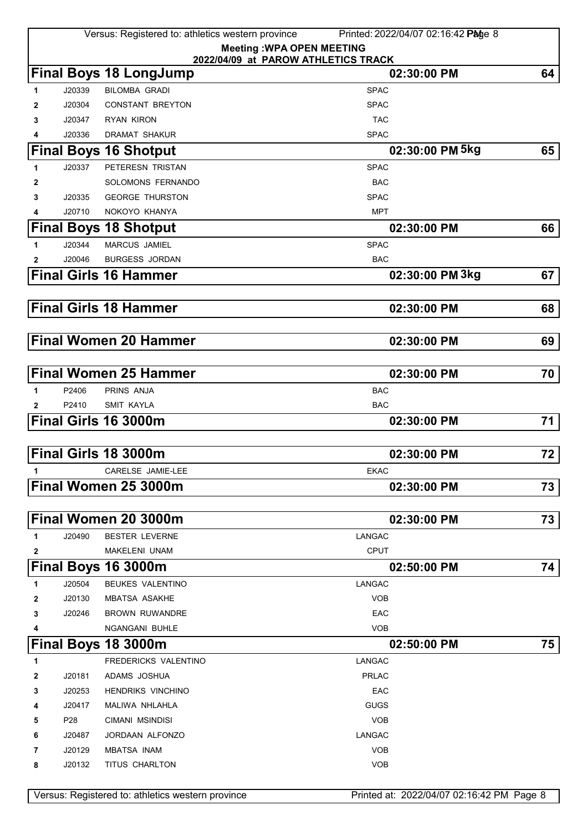|   |                 | Versus: Registered to: athletics western province | Printed: 2022/04/07 02:16:42 Page 8       |    |
|---|-----------------|---------------------------------------------------|-------------------------------------------|----|
|   |                 | <b>Meeting: WPA OPEN MEETING</b>                  |                                           |    |
|   |                 | 2022/04/09 at PAROW ATHLETICS TRACK               |                                           |    |
|   |                 | <b>Final Boys 18 LongJump</b>                     | 02:30:00 PM                               | 64 |
| 1 | J20339          | <b>BILOMBA GRADI</b>                              | <b>SPAC</b>                               |    |
| 2 | J20304          | <b>CONSTANT BREYTON</b>                           | <b>SPAC</b>                               |    |
| 3 | J20347          | <b>RYAN KIRON</b>                                 | <b>TAC</b>                                |    |
| 4 | J20336          | <b>DRAMAT SHAKUR</b>                              | <b>SPAC</b>                               |    |
|   |                 | <b>Final Boys 16 Shotput</b>                      | 02:30:00 PM 5kg                           | 65 |
| 1 | J20337          | PETERESN TRISTAN                                  | <b>SPAC</b>                               |    |
| 2 |                 | SOLOMONS FERNANDO                                 | <b>BAC</b>                                |    |
| 3 | J20335          | <b>GEORGE THURSTON</b>                            | <b>SPAC</b>                               |    |
| 4 | J20710          | NOKOYO KHANYA                                     | <b>MPT</b>                                |    |
|   |                 | <b>Final Boys 18 Shotput</b>                      | 02:30:00 PM                               | 66 |
| 1 | J20344          | <b>MARCUS JAMIEL</b>                              | <b>SPAC</b>                               |    |
| 2 | J20046          | <b>BURGESS JORDAN</b>                             | <b>BAC</b>                                |    |
|   |                 | <b>Final Girls 16 Hammer</b>                      | 02:30:00 PM 3kg                           | 67 |
|   |                 | <b>Final Girls 18 Hammer</b>                      | 02:30:00 PM                               | 68 |
|   |                 | <b>Final Women 20 Hammer</b>                      | 02:30:00 PM                               | 69 |
|   |                 | <b>Final Women 25 Hammer</b>                      | 02:30:00 PM                               | 70 |
| 1 | P2406           | PRINS ANJA                                        | <b>BAC</b>                                |    |
| 2 | P2410           | <b>SMIT KAYLA</b>                                 | <b>BAC</b>                                |    |
|   |                 | Final Girls 16 3000m                              | 02:30:00 PM                               | 71 |
|   |                 | Final Girls 18 3000m                              | 02:30:00 PM                               | 72 |
|   |                 | CARELSE JAMIE-LEE                                 | <b>EKAC</b>                               |    |
|   |                 | Final Women 25 3000m                              | 02:30:00 PM                               | 73 |
|   |                 |                                                   |                                           |    |
|   |                 | Final Women 20 3000m                              | 02:30:00 PM                               | 73 |
| 1 | J20490          | <b>BESTER LEVERNE</b>                             | LANGAC                                    |    |
| 2 |                 | MAKELENI UNAM                                     | <b>CPUT</b>                               |    |
|   |                 | Final Boys 16 3000m                               | 02:50:00 PM                               | 74 |
| 1 | J20504          | <b>BEUKES VALENTINO</b>                           | <b>LANGAC</b>                             |    |
| 2 | J20130          | <b>MBATSA ASAKHE</b>                              | <b>VOB</b>                                |    |
| 3 | J20246          | <b>BROWN RUWANDRE</b>                             | EAC                                       |    |
| 4 |                 | NGANGANI BUHLE                                    | <b>VOB</b>                                |    |
|   |                 | Final Boys 18 3000m                               | 02:50:00 PM                               | 75 |
| 1 |                 | FREDERICKS VALENTINO                              | <b>LANGAC</b>                             |    |
| 2 | J20181          | ADAMS JOSHUA                                      | <b>PRLAC</b>                              |    |
| 3 | J20253          | <b>HENDRIKS VINCHINO</b>                          | EAC                                       |    |
| 4 | J20417          | MALIWA NHLAHLA                                    | <b>GUGS</b>                               |    |
| 5 | P <sub>28</sub> | CIMANI MSINDISI                                   | <b>VOB</b>                                |    |
| 6 | J20487          | JORDAAN ALFONZO                                   | LANGAC                                    |    |
| 7 | J20129          | <b>MBATSA INAM</b>                                | <b>VOB</b>                                |    |
| 8 | J20132          | TITUS CHARLTON                                    | <b>VOB</b>                                |    |
|   |                 | Versus: Registered to: athletics western province | Printed at: 2022/04/07 02:16:42 PM Page 8 |    |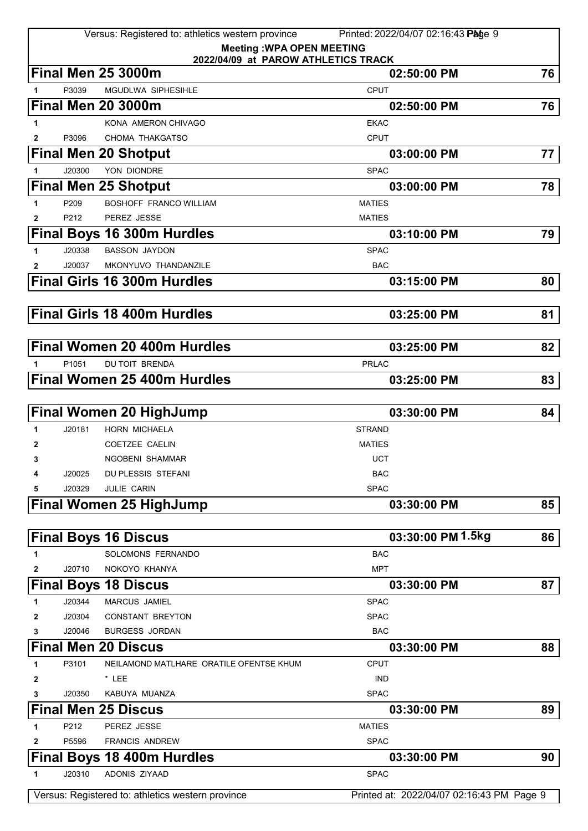|                   |                   | Versus: Registered to: athletics western province                | Printed: 2022/04/07 02:16:43 Page 9       |    |
|-------------------|-------------------|------------------------------------------------------------------|-------------------------------------------|----|
|                   |                   | <b>Meeting: WPA OPEN MEETING</b>                                 |                                           |    |
|                   |                   | 2022/04/09 at PAROW ATHLETICS TRACK<br><b>Final Men 25 3000m</b> | 02:50:00 PM                               | 76 |
| 1                 | P3039             | <b>MGUDLWA SIPHESIHLE</b>                                        | <b>CPUT</b>                               |    |
|                   |                   | <b>Final Men 20 3000m</b>                                        | 02:50:00 PM                               | 76 |
| 1                 |                   | KONA AMERON CHIVAGO                                              | <b>EKAC</b>                               |    |
| $\mathbf{2}$      | P3096             | CHOMA THAKGATSO                                                  | <b>CPUT</b>                               |    |
|                   |                   | <b>Final Men 20 Shotput</b>                                      | 03:00:00 PM                               | 77 |
| 1                 | J20300            | YON DIONDRE                                                      | <b>SPAC</b>                               |    |
|                   |                   | <b>Final Men 25 Shotput</b>                                      | 03:00:00 PM                               | 78 |
| 1                 | P209              | <b>BOSHOFF FRANCO WILLIAM</b>                                    | <b>MATIES</b>                             |    |
| $\mathbf{2}$      | P212              | PEREZ JESSE                                                      | <b>MATIES</b>                             |    |
|                   |                   | <b>Final Boys 16 300m Hurdles</b>                                | 03:10:00 PM                               | 79 |
| 1                 | J20338            | <b>BASSON JAYDON</b>                                             | <b>SPAC</b>                               |    |
| 2                 | J20037            | MKONYUVO THANDANZILE                                             | <b>BAC</b>                                |    |
|                   |                   | <b>Final Girls 16 300m Hurdles</b>                               | 03:15:00 PM                               | 80 |
|                   |                   |                                                                  |                                           |    |
|                   |                   | <b>Final Girls 18 400m Hurdles</b>                               | 03:25:00 PM                               | 81 |
|                   |                   |                                                                  |                                           |    |
|                   |                   | <b>Final Women 20 400m Hurdles</b>                               | 03:25:00 PM                               | 82 |
| 1                 | P <sub>1051</sub> | <b>DU TOIT BRENDA</b>                                            | <b>PRLAC</b>                              |    |
|                   |                   | <b>Final Women 25 400m Hurdles</b>                               | 03:25:00 PM                               | 83 |
|                   |                   |                                                                  |                                           |    |
|                   |                   | <b>Final Women 20 HighJump</b>                                   | 03:30:00 PM                               | 84 |
| 1                 | J20181            | <b>HORN MICHAELA</b>                                             | <b>STRAND</b>                             |    |
| $\mathbf{2}$      |                   | COETZEE CAELIN                                                   | <b>MATIES</b>                             |    |
| 3                 |                   | NGOBENI SHAMMAR                                                  | <b>UCT</b>                                |    |
| 4                 | J20025            | DU PLESSIS STEFANI                                               | <b>BAC</b>                                |    |
| 5                 | J20329            | <b>JULIE CARIN</b>                                               | <b>SPAC</b>                               |    |
|                   |                   | <b>Final Women 25 HighJump</b>                                   | 03:30:00 PM                               | 85 |
|                   |                   |                                                                  |                                           |    |
|                   |                   | <b>Final Boys 16 Discus</b>                                      | 03:30:00 PM 1.5kg                         | 86 |
| 1                 |                   | SOLOMONS FERNANDO                                                | <b>BAC</b>                                |    |
| $\mathbf{2}$      | J20710            | NOKOYO KHANYA                                                    | <b>MPT</b>                                |    |
|                   |                   | <b>Final Boys 18 Discus</b>                                      | 03:30:00 PM                               | 87 |
| 1                 | J20344            | <b>MARCUS JAMIEL</b>                                             | <b>SPAC</b>                               |    |
| $\mathbf{2}$<br>3 | J20304<br>J20046  | <b>CONSTANT BREYTON</b><br><b>BURGESS JORDAN</b>                 | <b>SPAC</b><br><b>BAC</b>                 |    |
|                   |                   | <b>Final Men 20 Discus</b>                                       | 03:30:00 PM                               | 88 |
| 1                 | P3101             | NEILAMOND MATLHARE ORATILE OFENTSE KHUM                          | <b>CPUT</b>                               |    |
| 2                 |                   | $*$ LEE                                                          | <b>IND</b>                                |    |
| 3                 | J20350            | KABUYA MUANZA                                                    | <b>SPAC</b>                               |    |
|                   |                   | <b>Final Men 25 Discus</b>                                       | 03:30:00 PM                               | 89 |
| 1                 | P212              | PEREZ JESSE                                                      | <b>MATIES</b>                             |    |
| 2                 | P5596             | <b>FRANCIS ANDREW</b>                                            | <b>SPAC</b>                               |    |
|                   |                   | <b>Final Boys 18 400m Hurdles</b>                                | 03:30:00 PM                               | 90 |
| 1                 | J20310            | ADONIS ZIYAAD                                                    | <b>SPAC</b>                               |    |
|                   |                   |                                                                  |                                           |    |
|                   |                   | Versus: Registered to: athletics western province                | Printed at: 2022/04/07 02:16:43 PM Page 9 |    |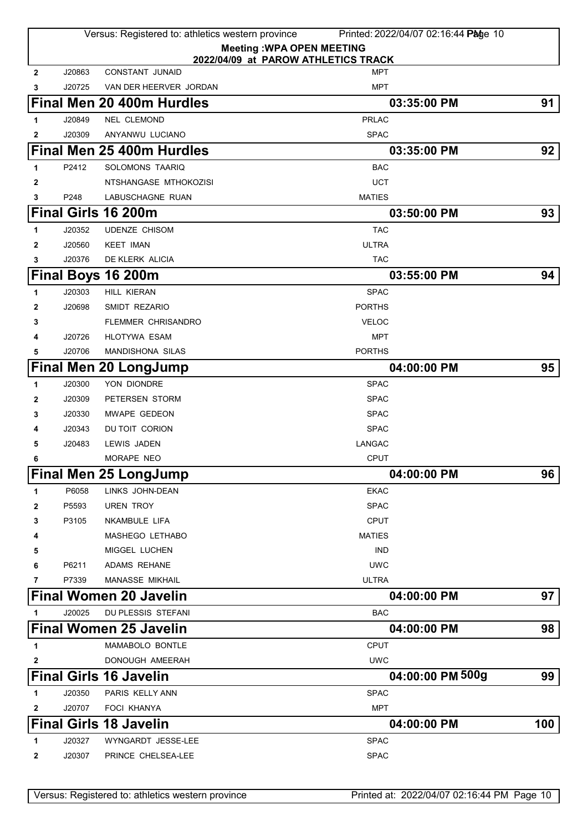|                |        | Versus: Registered to: athletics western province | Printed: 2022/04/07 02:16:44 Page 10                                    |      |
|----------------|--------|---------------------------------------------------|-------------------------------------------------------------------------|------|
|                |        |                                                   | <b>Meeting: WPA OPEN MEETING</b><br>2022/04/09 at PAROW ATHLETICS TRACK |      |
| $\overline{2}$ | J20863 | <b>CONSTANT JUNAID</b>                            | MPT                                                                     |      |
| 3              | J20725 | VAN DER HEERVER JORDAN                            | <b>MPT</b>                                                              |      |
|                |        | Final Men 20 400m Hurdles                         | 03:35:00 PM                                                             | 91   |
| 1              | J20849 | <b>NEL CLEMOND</b>                                | <b>PRLAC</b>                                                            |      |
| 2              | J20309 | ANYANWU LUCIANO                                   | <b>SPAC</b>                                                             |      |
|                |        | Final Men 25 400m Hurdles                         | 03:35:00 PM                                                             | 92   |
| 1              | P2412  | SOLOMONS TAARIQ                                   | <b>BAC</b>                                                              |      |
| 2              |        | NTSHANGASE MTHOKOZISI                             | <b>UCT</b>                                                              |      |
| 3              | P248   | LABUSCHAGNE RUAN                                  | <b>MATIES</b>                                                           |      |
|                |        | Final Girls 16 200m                               | 03:50:00 PM                                                             | 93   |
| 1              | J20352 | <b>UDENZE CHISOM</b>                              | <b>TAC</b>                                                              |      |
| $\mathbf{2}$   | J20560 | <b>KEET IMAN</b>                                  | <b>ULTRA</b>                                                            |      |
| 3              | J20376 | DE KLERK ALICIA                                   | <b>TAC</b>                                                              |      |
|                |        | Final Boys 16 200m                                | 03:55:00 PM                                                             | 94   |
| 1              | J20303 | <b>HILL KIERAN</b>                                | <b>SPAC</b>                                                             |      |
| 2              | J20698 | SMIDT REZARIO                                     | <b>PORTHS</b>                                                           |      |
| 3              |        | <b>FLEMMER CHRISANDRO</b>                         | <b>VELOC</b>                                                            |      |
| 4              | J20726 | <b>HLOTYWA ESAM</b>                               | <b>MPT</b>                                                              |      |
| 5              | J20706 | <b>MANDISHONA SILAS</b>                           | <b>PORTHS</b>                                                           |      |
|                |        | <b>Final Men 20 LongJump</b>                      | 04:00:00 PM                                                             | 95   |
| 1              | J20300 | YON DIONDRE                                       | <b>SPAC</b>                                                             |      |
| 2              | J20309 | PETERSEN STORM                                    | <b>SPAC</b>                                                             |      |
| 3              | J20330 | <b>MWAPE GEDEON</b>                               | <b>SPAC</b>                                                             |      |
|                | J20343 | DU TOIT CORION                                    | <b>SPAC</b>                                                             |      |
| 5              | J20483 | LEWIS JADEN                                       | <b>LANGAC</b>                                                           |      |
| 6              |        | MORAPE NEO                                        | <b>CPUT</b>                                                             |      |
|                |        | <b>Final Men 25 LongJump</b>                      | 04:00:00 PM                                                             | 96   |
| 1              | P6058  | LINKS JOHN-DEAN                                   | <b>EKAC</b>                                                             |      |
| 2              | P5593  | <b>UREN TROY</b>                                  | <b>SPAC</b>                                                             |      |
| 3              | P3105  | NKAMBULE LIFA                                     | <b>CPUT</b>                                                             |      |
| 4              |        | MASHEGO LETHABO                                   | <b>MATIES</b>                                                           |      |
| 5              |        | MIGGEL LUCHEN                                     | <b>IND</b>                                                              |      |
| 6              | P6211  | <b>ADAMS REHANE</b>                               | <b>UWC</b>                                                              |      |
| 7              | P7339  | MANASSE MIKHAIL                                   | <b>ULTRA</b>                                                            |      |
|                |        | <b>Final Women 20 Javelin</b>                     | 04:00:00 PM                                                             | 97 I |
| 1              | J20025 | DU PLESSIS STEFANI                                | <b>BAC</b>                                                              |      |
|                |        | <b>Final Women 25 Javelin</b>                     | 04:00:00 PM                                                             | 98   |
| 1              |        | MAMABOLO BONTLE                                   | <b>CPUT</b>                                                             |      |
| 2              |        | DONOUGH AMEERAH                                   | <b>UWC</b>                                                              |      |
|                |        | <b>Final Girls 16 Javelin</b>                     | 04:00:00 PM 500g                                                        | 99   |
| 1              | J20350 | PARIS KELLY ANN                                   | <b>SPAC</b>                                                             |      |
| 2              | J20707 | <b>FOCI KHANYA</b>                                | <b>MPT</b>                                                              |      |
|                |        | <b>Final Girls 18 Javelin</b>                     | 04:00:00 PM                                                             | 100  |
| 1              | J20327 | WYNGARDT JESSE-LEE                                | <b>SPAC</b>                                                             |      |
| 2              | J20307 | PRINCE CHELSEA-LEE                                | <b>SPAC</b>                                                             |      |
|                |        |                                                   |                                                                         |      |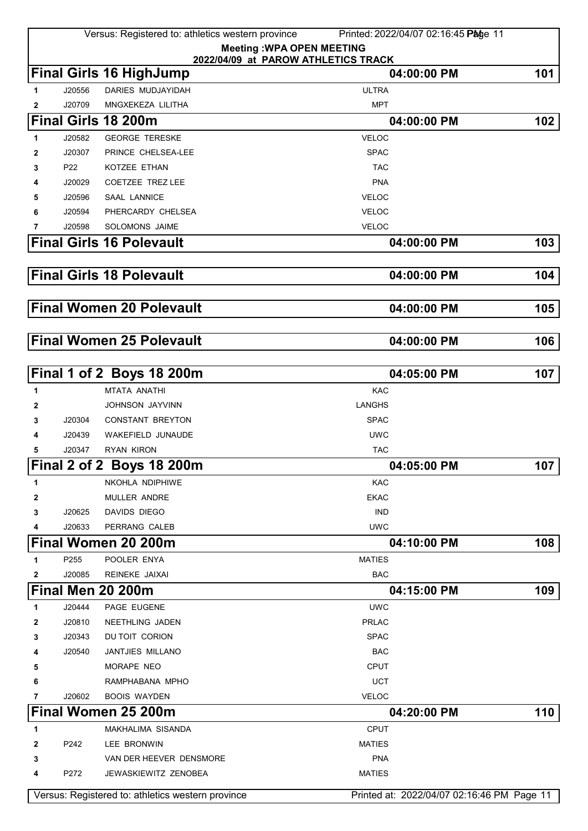|              |        | Versus: Registered to: athletics western province                       | Printed: 2022/04/07 02:16:45 Page 11       |     |
|--------------|--------|-------------------------------------------------------------------------|--------------------------------------------|-----|
|              |        | <b>Meeting: WPA OPEN MEETING</b><br>2022/04/09 at PAROW ATHLETICS TRACK |                                            |     |
|              |        | <b>Final Girls 16 HighJump</b>                                          | 04:00:00 PM                                | 101 |
| 1            | J20556 | <b>DARIES MUDJAYIDAH</b>                                                | <b>ULTRA</b>                               |     |
| $\mathbf{2}$ | J20709 | MNGXEKEZA LILITHA                                                       | <b>MPT</b>                                 |     |
|              |        | Final Girls 18 200m                                                     | 04:00:00 PM                                | 102 |
| 1            | J20582 | <b>GEORGE TERESKE</b>                                                   | <b>VELOC</b>                               |     |
| $\mathbf{2}$ | J20307 | PRINCE CHELSEA-LEE                                                      | <b>SPAC</b>                                |     |
| 3            | P22    | KOTZEE ETHAN                                                            | <b>TAC</b>                                 |     |
| 4            | J20029 | COETZEE TREZ LEE                                                        | <b>PNA</b>                                 |     |
| 5            | J20596 | <b>SAAL LANNICE</b>                                                     | <b>VELOC</b>                               |     |
| 6            | J20594 | PHERCARDY CHELSEA                                                       | <b>VELOC</b>                               |     |
| 7            | J20598 | SOLOMONS JAIME                                                          | <b>VELOC</b>                               |     |
|              |        | <b>Final Girls 16 Polevault</b>                                         | 04:00:00 PM                                | 103 |
|              |        |                                                                         |                                            |     |
|              |        | <b>Final Girls 18 Polevault</b>                                         | 04:00:00 PM                                | 104 |
|              |        | <b>Final Women 20 Polevault</b>                                         | 04:00:00 PM                                | 105 |
|              |        |                                                                         |                                            |     |
|              |        | <b>Final Women 25 Polevault</b>                                         | 04:00:00 PM                                | 106 |
|              |        | Final 1 of 2 Boys 18 200m                                               | 04:05:00 PM                                | 107 |
| 1            |        | MTATA ANATHI                                                            | <b>KAC</b>                                 |     |
| 2            |        | JOHNSON JAYVINN                                                         | <b>LANGHS</b>                              |     |
| 3            | J20304 | CONSTANT BREYTON                                                        | <b>SPAC</b>                                |     |
| 4            | J20439 | WAKEFIELD JUNAUDE                                                       | <b>UWC</b>                                 |     |
| 5            | J20347 | RYAN KIRON                                                              | <b>TAC</b>                                 |     |
|              |        | Final 2 of 2 Boys 18 200m                                               | 04:05:00 PM                                | 107 |
| 1            |        | NKOHLA NDIPHIWE                                                         | <b>KAC</b>                                 |     |
| 2            |        | MULLER ANDRE                                                            | <b>EKAC</b>                                |     |
| 3            | J20625 | DAVIDS DIEGO                                                            | <b>IND</b>                                 |     |
| 4            | J20633 | PERRANG CALEB                                                           | <b>UWC</b>                                 |     |
|              |        | Final Women 20 200m                                                     | 04:10:00 PM                                | 108 |
| 1            | P255   | POOLER ENYA                                                             | <b>MATIES</b>                              |     |
| 2            | J20085 | REINEKE JAIXAI                                                          | <b>BAC</b>                                 |     |
|              |        | Final Men 20 200m                                                       | 04:15:00 PM                                | 109 |
| 1            | J20444 | PAGE EUGENE                                                             | <b>UWC</b>                                 |     |
| 2            | J20810 | NEETHLING JADEN                                                         | <b>PRLAC</b>                               |     |
| 3            | J20343 | DU TOIT CORION                                                          | <b>SPAC</b>                                |     |
| 4            | J20540 | <b>JANTJIES MILLANO</b>                                                 | <b>BAC</b>                                 |     |
| 5            |        | MORAPE NEO                                                              | CPUT                                       |     |
| 6            |        | RAMPHABANA MPHO                                                         | <b>UCT</b>                                 |     |
| 7            | J20602 | <b>BOOIS WAYDEN</b>                                                     | VELOC                                      |     |
|              |        | Final Women 25 200m                                                     | 04:20:00 PM                                | 110 |
| 1            |        | MAKHALIMA SISANDA                                                       | <b>CPUT</b>                                |     |
| 2            | P242   | LEE BRONWIN                                                             | <b>MATIES</b>                              |     |
| 3            |        | VAN DER HEEVER DENSMORE                                                 | <b>PNA</b>                                 |     |
| 4            | P272   | JEWASKIEWITZ ZENOBEA                                                    | <b>MATIES</b>                              |     |
|              |        | Versus: Registered to: athletics western province                       | Printed at: 2022/04/07 02:16:46 PM Page 11 |     |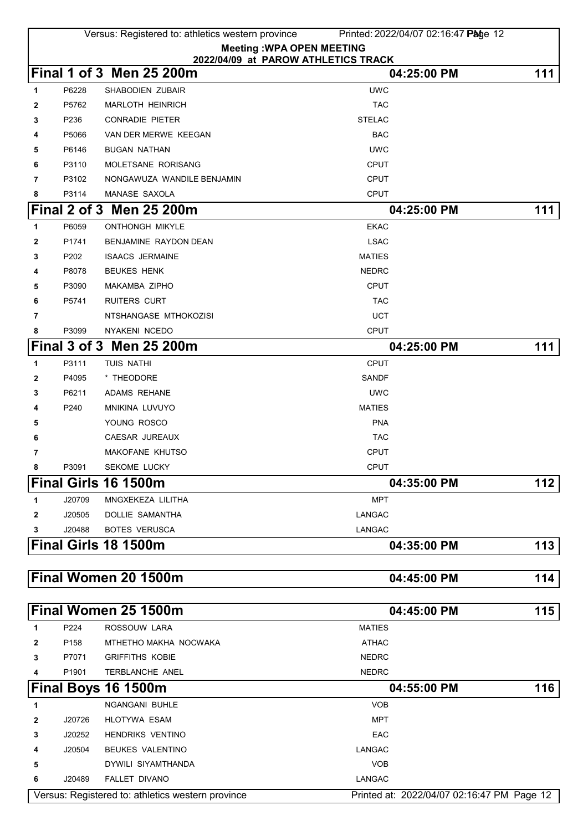|              |                  | Versus: Registered to: athletics western province | Printed: 2022/04/07 02:16:47 Page 12               |     |
|--------------|------------------|---------------------------------------------------|----------------------------------------------------|-----|
|              |                  |                                                   | <b>Meeting: WPA OPEN MEETING</b>                   |     |
|              |                  | Final 1 of 3 Men 25 200m                          | 2022/04/09 at PAROW ATHLETICS TRACK<br>04:25:00 PM | 111 |
| 1            | P6228            | <b>SHABODIEN ZUBAIR</b>                           | <b>UWC</b>                                         |     |
| 2            | P5762            | <b>MARLOTH HEINRICH</b>                           | <b>TAC</b>                                         |     |
| 3            | P236             | <b>CONRADIE PIETER</b>                            | <b>STELAC</b>                                      |     |
| 4            | P5066            | VAN DER MERWE KEEGAN                              | <b>BAC</b>                                         |     |
| 5            | P6146            | <b>BUGAN NATHAN</b>                               | <b>UWC</b>                                         |     |
| 6            | P3110            | MOLETSANE RORISANG                                | CPUT                                               |     |
| 7            | P3102            | NONGAWUZA WANDILE BENJAMIN                        | <b>CPUT</b>                                        |     |
| 8            | P3114            | MANASE SAXOLA                                     | <b>CPUT</b>                                        |     |
|              |                  | Final 2 of 3 Men 25 200m                          | 04:25:00 PM                                        | 111 |
| 1            | P6059            | <b>ONTHONGH MIKYLE</b>                            | <b>EKAC</b>                                        |     |
| $\mathbf{2}$ | P1741            | BENJAMINE RAYDON DEAN                             | <b>LSAC</b>                                        |     |
| 3            | P202             | <b>ISAACS JERMAINE</b>                            | <b>MATIES</b>                                      |     |
| 4            | P8078            | <b>BEUKES HENK</b>                                | <b>NEDRC</b>                                       |     |
| 5            | P3090            | MAKAMBA ZIPHO                                     | <b>CPUT</b>                                        |     |
| 6            | P5741            | <b>RUITERS CURT</b>                               | <b>TAC</b>                                         |     |
| 7            |                  | NTSHANGASE MTHOKOZISI                             | <b>UCT</b>                                         |     |
| 8            | P3099            | NYAKENI NCEDO                                     | <b>CPUT</b>                                        |     |
|              |                  | Final 3 of 3 Men 25 200m                          | 04:25:00 PM                                        | 111 |
| 1            | P3111            | TUIS NATHI                                        | <b>CPUT</b>                                        |     |
| 2            | P4095            | * THEODORE                                        | SANDF                                              |     |
| 3            | P6211            | ADAMS REHANE                                      | <b>UWC</b>                                         |     |
| 4            | P240             | MNIKINA LUVUYO                                    | <b>MATIES</b>                                      |     |
| 5            |                  | YOUNG ROSCO                                       | <b>PNA</b>                                         |     |
| 6            |                  | CAESAR JUREAUX                                    | <b>TAC</b>                                         |     |
| 7            |                  | MAKOFANE KHUTSO                                   | <b>CPUT</b>                                        |     |
| 8            | P3091            | SEKOME LUCKY                                      | <b>CPUT</b>                                        |     |
|              |                  | Final Girls 16 1500m                              | 04:35:00 PM                                        | 112 |
| 1            | J20709           | MNGXEKEZA LILITHA                                 | <b>MPT</b>                                         |     |
| 2            | J20505           | DOLLIE SAMANTHA                                   | <b>LANGAC</b>                                      |     |
| 3            | J20488           | <b>BOTES VERUSCA</b>                              | <b>LANGAC</b>                                      |     |
|              |                  | Final Girls 18 1500m                              | 04:35:00 PM                                        | 113 |
|              |                  |                                                   |                                                    |     |
|              |                  | Final Women 20 1500m                              | 04:45:00 PM                                        | 114 |
|              |                  |                                                   |                                                    |     |
|              |                  | Final Women 25 1500m                              | 04:45:00 PM                                        | 115 |
| 1            | P224             | ROSSOUW LARA                                      | <b>MATIES</b>                                      |     |
| 2            | P <sub>158</sub> | MTHETHO MAKHA NOCWAKA                             | <b>ATHAC</b>                                       |     |
| 3            | P7071            | <b>GRIFFITHS KOBIE</b>                            | <b>NEDRC</b>                                       |     |
| 4            | P1901            | TERBLANCHE ANEL                                   | <b>NEDRC</b>                                       |     |
|              |                  | Final Boys 16 1500m                               | 04:55:00 PM                                        | 116 |
| 1            |                  | <b>NGANGANI BUHLE</b>                             | <b>VOB</b>                                         |     |
| 2            | J20726           | <b>HLOTYWA ESAM</b>                               | <b>MPT</b>                                         |     |
| 3            | J20252           | <b>HENDRIKS VENTINO</b>                           | EAC                                                |     |
| 4            | J20504           | <b>BEUKES VALENTINO</b>                           | <b>LANGAC</b>                                      |     |
| 5            |                  | DYWILI SIYAMTHANDA                                | <b>VOB</b>                                         |     |
| 6            | J20489           | FALLET DIVANO                                     | <b>LANGAC</b>                                      |     |
|              |                  | Versus: Registered to: athletics western province | Printed at: 2022/04/07 02:16:47 PM Page 12         |     |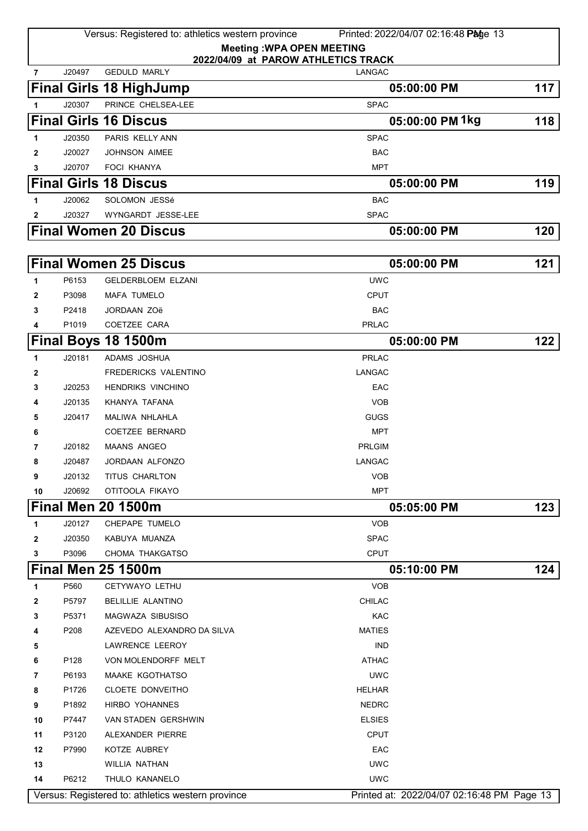|                |        | Versus: Registered to: athletics western province<br><b>Meeting: WPA OPEN MEETING</b> | Printed: 2022/04/07 02:16:48 Page 13       |     |
|----------------|--------|---------------------------------------------------------------------------------------|--------------------------------------------|-----|
| $\overline{7}$ | J20497 | 2022/04/09 at PAROW ATHLETICS TRACK<br><b>GEDULD MARLY</b>                            | <b>LANGAC</b>                              |     |
|                |        | <b>Final Girls 18 HighJump</b>                                                        | 05:00:00 PM                                | 117 |
| 1              | J20307 | PRINCE CHELSEA-LEE                                                                    | <b>SPAC</b>                                |     |
|                |        | <b>Final Girls 16 Discus</b>                                                          | 05:00:00 PM 1kg                            | 118 |
| 1              | J20350 | PARIS KELLY ANN                                                                       | <b>SPAC</b>                                |     |
| 2              | J20027 | <b>JOHNSON AIMEE</b>                                                                  | <b>BAC</b>                                 |     |
| 3              | J20707 | <b>FOCI KHANYA</b>                                                                    | <b>MPT</b>                                 |     |
|                |        | <b>Final Girls 18 Discus</b>                                                          | 05:00:00 PM                                | 119 |
|                | J20062 | SOLOMON JESSé                                                                         | <b>BAC</b>                                 |     |
| 1              | J20327 | WYNGARDT JESSE-LEE                                                                    | <b>SPAC</b>                                |     |
| 2              |        |                                                                                       |                                            |     |
|                |        | <b>Final Women 20 Discus</b>                                                          | 05:00:00 PM                                | 120 |
|                |        | <b>Final Women 25 Discus</b>                                                          | 05:00:00 PM                                | 121 |
| 1              | P6153  | <b>GELDERBLOEM ELZANI</b>                                                             | <b>UWC</b>                                 |     |
| 2              | P3098  | <b>MAFA TUMELO</b>                                                                    | <b>CPUT</b>                                |     |
| 3              | P2418  | JORDAAN ZOë                                                                           | <b>BAC</b>                                 |     |
| 4              | P1019  | COETZEE CARA                                                                          | <b>PRLAC</b>                               |     |
|                |        | Final Boys 18 1500m                                                                   | 05:00:00 PM                                | 122 |
| 1              | J20181 | ADAMS JOSHUA                                                                          | <b>PRLAC</b>                               |     |
| 2              |        | FREDERICKS VALENTINO                                                                  | LANGAC                                     |     |
| 3              | J20253 | <b>HENDRIKS VINCHINO</b>                                                              | EAC                                        |     |
| 4              | J20135 | KHANYA TAFANA                                                                         | <b>VOB</b>                                 |     |
| 5              | J20417 | MALIWA NHLAHLA                                                                        | <b>GUGS</b>                                |     |
| 6              |        | <b>COETZEE BERNARD</b>                                                                | <b>MPT</b>                                 |     |
| 7              | J20182 | <b>MAANS ANGEO</b>                                                                    | <b>PRLGIM</b>                              |     |
| 8              | J20487 | <b>JORDAAN ALFONZO</b>                                                                | <b>LANGAC</b>                              |     |
| 9              | J20132 | TITUS CHARLTON                                                                        | VOB                                        |     |
| 10             | J20692 | OTITOOLA FIKAYO                                                                       | MPT                                        |     |
|                |        | <b>Final Men 20 1500m</b>                                                             | 05:05:00 PM                                | 123 |
| 1              | J20127 | CHEPAPE TUMELO                                                                        | <b>VOB</b>                                 |     |
| 2              | J20350 | KABUYA MUANZA                                                                         | <b>SPAC</b>                                |     |
| 3              | P3096  | CHOMA THAKGATSO                                                                       | <b>CPUT</b>                                |     |
|                |        | Final Men 25 1500m                                                                    | 05:10:00 PM                                | 124 |
| 1              | P560   | CETYWAYO LETHU                                                                        | <b>VOB</b>                                 |     |
| 2              | P5797  | <b>BELILLIE ALANTINO</b>                                                              | <b>CHILAC</b>                              |     |
| 3              | P5371  | MAGWAZA SIBUSISO                                                                      | <b>KAC</b>                                 |     |
| 4              | P208   | AZEVEDO ALEXANDRO DA SILVA                                                            | <b>MATIES</b>                              |     |
| 5              |        | LAWRENCE LEEROY                                                                       | <b>IND</b>                                 |     |
| 6              | P128   | VON MOLENDORFF MELT                                                                   | <b>ATHAC</b>                               |     |
| 7              | P6193  | MAAKE KGOTHATSO                                                                       | <b>UWC</b>                                 |     |
| 8              | P1726  | CLOETE DONVEITHO                                                                      | <b>HELHAR</b>                              |     |
| 9              | P1892  | HIRBO YOHANNES                                                                        | <b>NEDRC</b>                               |     |
| 10             | P7447  | VAN STADEN GERSHWIN                                                                   | <b>ELSIES</b>                              |     |
| 11             | P3120  | ALEXANDER PIERRE                                                                      | <b>CPUT</b>                                |     |
| 12             | P7990  | KOTZE AUBREY                                                                          | EAC                                        |     |
| 13             |        | WILLIA NATHAN                                                                         | <b>UWC</b>                                 |     |
| 14             | P6212  | THULO KANANELO                                                                        | <b>UWC</b>                                 |     |
|                |        | Versus: Registered to: athletics western province                                     | Printed at: 2022/04/07 02:16:48 PM Page 13 |     |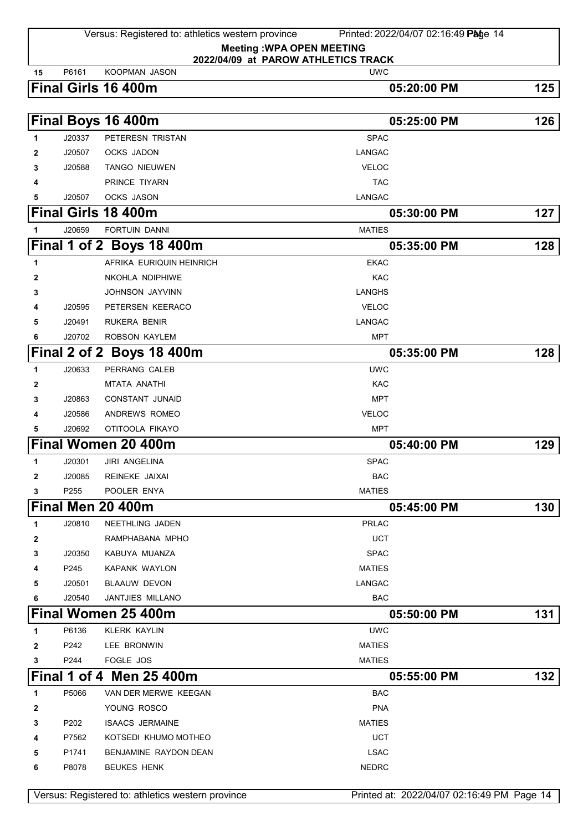| 15 | P6161  | <b>KOOPMAN JASON</b>                              | 2022/04/09 at PAROW ATHLETICS TRACK<br><b>UWC</b> |     |
|----|--------|---------------------------------------------------|---------------------------------------------------|-----|
|    |        | Final Girls 16 400m                               | 05:20:00 PM                                       | 125 |
|    |        |                                                   |                                                   |     |
|    |        | Final Boys 16 400m                                | 05:25:00 PM                                       | 126 |
| 1  | J20337 | PETERESN TRISTAN                                  | <b>SPAC</b>                                       |     |
| 2  | J20507 | <b>OCKS JADON</b>                                 | LANGAC                                            |     |
| 3  | J20588 | <b>TANGO NIEUWEN</b>                              | <b>VELOC</b>                                      |     |
| 4  |        | PRINCE TIYARN                                     | <b>TAC</b>                                        |     |
| 5  | J20507 | <b>OCKS JASON</b>                                 | <b>LANGAC</b>                                     |     |
|    |        | Final Girls 18 400m                               | 05:30:00 PM                                       | 127 |
| 1  | J20659 | <b>FORTUIN DANNI</b>                              | <b>MATIES</b>                                     |     |
|    |        | Final 1 of 2 Boys 18 400m                         | 05:35:00 PM                                       | 128 |
| 1  |        | AFRIKA EURIQUIN HEINRICH                          | <b>EKAC</b>                                       |     |
| 2  |        | NKOHLA NDIPHIWE                                   | <b>KAC</b>                                        |     |
| 3  |        | JOHNSON JAYVINN                                   | <b>LANGHS</b>                                     |     |
| 4  | J20595 | PETERSEN KEERACO                                  | <b>VELOC</b>                                      |     |
| 5  | J20491 | RUKERA BENIR                                      | LANGAC                                            |     |
| 6  | J20702 | ROBSON KAYLEM                                     | <b>MPT</b>                                        |     |
|    |        | Final 2 of 2 Boys 18 400m                         | 05:35:00 PM                                       | 128 |
|    | J20633 | PERRANG CALEB                                     | <b>UWC</b>                                        |     |
| 2  |        | MTATA ANATHI                                      | KAC                                               |     |
| 3  | J20863 | <b>CONSTANT JUNAID</b>                            | MPT                                               |     |
| 4  | J20586 | ANDREWS ROMEO                                     | <b>VELOC</b>                                      |     |
| 5  | J20692 | OTITOOLA FIKAYO                                   | MPT                                               |     |
|    |        | Final Women 20 400m                               | 05:40:00 PM                                       | 129 |
| 1  | J20301 | <b>JIRI ANGELINA</b>                              | <b>SPAC</b>                                       |     |
| 2  | J20085 | REINEKE JAIXAI                                    | BAC                                               |     |
| 3  | P255   | POOLER ENYA                                       | <b>MATIES</b>                                     |     |
|    |        | Final Men 20 400m                                 | 05:45:00 PM                                       | 130 |
| 1  | J20810 | NEETHLING JADEN                                   | <b>PRLAC</b>                                      |     |
| 2  |        | RAMPHABANA MPHO                                   | <b>UCT</b>                                        |     |
| 3  | J20350 | KABUYA MUANZA                                     | <b>SPAC</b>                                       |     |
| 4  | P245   | <b>KAPANK WAYLON</b>                              | <b>MATIES</b>                                     |     |
| 5  | J20501 | <b>BLAAUW DEVON</b>                               | LANGAC                                            |     |
| 6  | J20540 | JANTJIES MILLANO                                  | BAC                                               |     |
|    |        | Final Women 25 400m                               | 05:50:00 PM                                       | 131 |
| 1  | P6136  | <b>KLERK KAYLIN</b>                               | <b>UWC</b>                                        |     |
| 2  | P242   | LEE BRONWIN                                       | <b>MATIES</b>                                     |     |
| 3  | P244   | FOGLE JOS                                         | <b>MATIES</b>                                     |     |
|    |        | Final 1 of 4 Men 25 400m                          | 05:55:00 PM                                       | 132 |
| 1  | P5066  | VAN DER MERWE KEEGAN                              | <b>BAC</b>                                        |     |
| 2  |        | YOUNG ROSCO                                       | <b>PNA</b>                                        |     |
| 3  | P202   | <b>ISAACS JERMAINE</b>                            | <b>MATIES</b>                                     |     |
| 4  | P7562  | KOTSEDI KHUMO MOTHEO                              | <b>UCT</b>                                        |     |
| 5  | P1741  | BENJAMINE RAYDON DEAN                             | <b>LSAC</b>                                       |     |
| 6  | P8078  | <b>BEUKES HENK</b>                                | <b>NEDRC</b>                                      |     |
|    |        |                                                   |                                                   |     |
|    |        | Versus: Registered to: athletics western province | Printed at: 2022/04/07 02:16:49 PM Page 14        |     |